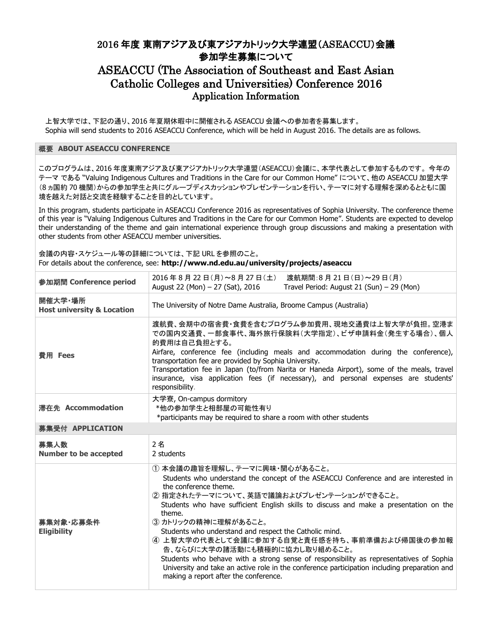## 2016 年度 東南アジア及び東アジアカトリック大学連盟(ASEACCU)会議 参加学生募集について

## ASEACCU (The Association of Southeast and East Asian Catholic Colleges and Universities) Conference 2016 Application Information

上智大学では、下記の通り、2016 年夏期休暇中に開催される ASEACCU 会議への参加者を募集します。 Sophia will send students to 2016 ASEACCU Conference, which will be held in August 2016. The details are as follows.

## 概要 **ABOUT ASEACCU CONFERENCE**

このプログラムは、2016 年度東南アジア及び東アジアカトリック大学連盟(ASEACCU)会議に、本学代表として参加するものです。 今年の テーマ である "Valuing Indigenous Cultures and Traditions in the Care for our Common Home" について、他の ASEACCU 加盟大学 (8 ヵ国約 70 機関)からの参加学生と共にグループディスカッションやプレゼンテーションを行い、テーマに対する理解を深めるとともに国 境を越えた対話と交流を経験することを目的としています。

In this program, students participate in ASEACCU Conference 2016 as representatives of Sophia University. The conference theme of this year is "Valuing Indigenous Cultures and Traditions in the Care for our Common Home". Students are expected to develop their understanding of the theme and gain international experience through group discussions and making a presentation with other students from other ASEACCU member universities.

会議の内容・スケジュール等の詳細については、下記 URL を参照のこと。 For details about the conference, see: **http://www.nd.edu.au/university/projects/aseaccu**

| 参加期間 Conference period                           | 2016年8月22日(月)~8月27日(土)<br>渡航期間:8月21日(日)~29日(月)<br>August 22 (Mon) - 27 (Sat), 2016<br>Travel Period: August 21 (Sun) - 29 (Mon)                                                                                                                                                                                                                                                                                                                                                                                                                                                                                                                                                                |  |
|--------------------------------------------------|------------------------------------------------------------------------------------------------------------------------------------------------------------------------------------------------------------------------------------------------------------------------------------------------------------------------------------------------------------------------------------------------------------------------------------------------------------------------------------------------------------------------------------------------------------------------------------------------------------------------------------------------------------------------------------------------|--|
| 開催大学·場所<br><b>Host university &amp; Location</b> | The University of Notre Dame Australia, Broome Campus (Australia)                                                                                                                                                                                                                                                                                                                                                                                                                                                                                                                                                                                                                              |  |
| 費用 Fees                                          | 渡航費、会期中の宿舎費・食費を含むプログラム参加費用、現地交通費は上智大学が負担。空港ま<br>での国内交通費、一部食事代、海外旅行保険料(大学指定)、ビザ申請料金(発生する場合)、個人<br>的費用は自己負担とする。<br>Airfare, conference fee (including meals and accommodation during the conference),<br>transportation fee are provided by Sophia University.<br>Transportation fee in Japan (to/from Narita or Haneda Airport), some of the meals, travel<br>insurance, visa application fees (if necessary), and personal expenses are students'<br>responsibility.                                                                                                                                                                                                                           |  |
| 滞在先 Accommodation                                | 大学寮, On-campus dormitory<br>*他の参加学生と相部屋の可能性有り<br>*participants may be required to share a room with other students                                                                                                                                                                                                                                                                                                                                                                                                                                                                                                                                                                             |  |
| 募集受付 APPLICATION                                 |                                                                                                                                                                                                                                                                                                                                                                                                                                                                                                                                                                                                                                                                                                |  |
| 募集人数<br><b>Number to be accepted</b>             | 2名<br>2 students                                                                                                                                                                                                                                                                                                                                                                                                                                                                                                                                                                                                                                                                               |  |
| 募集対象·応募条件<br><b>Eligibility</b>                  | ① 本会議の趣旨を理解し、テーマに興味・関心があること。<br>Students who understand the concept of the ASEACCU Conference and are interested in<br>the conference theme.<br>② 指定されたテーマについて、英語で議論およびプレゼンテーションができること。<br>Students who have sufficient English skills to discuss and make a presentation on the<br>theme.<br>3 カトリックの精神に理解があること。<br>Students who understand and respect the Catholic mind.<br>4 上智大学の代表として会議に参加する自覚と責任感を持ち、事前準備および帰国後の参加報<br>告、ならびに大学の諸活動にも積極的に協力し取り組めること。<br>Students who behave with a strong sense of responsibility as representatives of Sophia<br>University and take an active role in the conference participation including preparation and<br>making a report after the conference. |  |